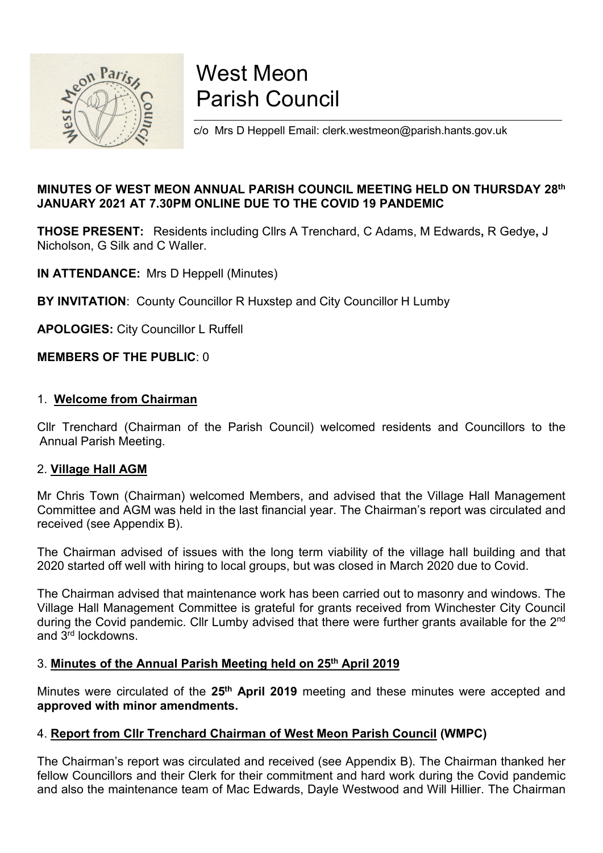

# West Meon<br>Parish Council<br>2/0 Mrs D Heppell Email: clerk.westmeon@parish.hants.gov.uk West Meon<br>Parish Council<br>2/0 Mrs D Heppell Email: clerk.westmeon@parish.hants.gov.uk West Meon<br>Parish Council<br>Co Mrs D Heppell Email: clerk.westmeon@parish.hants.gov.uk<br>ANNUAL PARISH COUNCIL MEETING HELD ON THURSDAY 28<sup>th</sup>

# West Meon<br>
Parish Council<br>
Samulary 2021 AT 7.30PM ONLINE DUE TO THE COVID 19 PANDEMIC<br>
THOSE PRESENT: Residents including Clirs A Trenchard, C Adams, M Edwards, R Gedye, J<br>
Nicholson, G Silk and C Waller. West Meon<br>
Parish Council<br>
January 2021 AT 7.30PM ONLINE DUE TO THE COVID 19 PANDEMIC<br>
JANUARY 2021 AT 7.30PM ONLINE DUE TO THE COVID 19 PANDEMIC<br>
THOSE PRESENT: Residents including Clirs A Trenchard, C Adams, M Edwards, R West Meon<br>
Parish Council<br>
Co Mrs D Heppell Email: clerk.westmeon@parish.hants.gov.uk<br>
JANUARY 2021 AT 7.30PM ONLINE DUE TO THE COVID 19 PANDEMIC<br>
THOSE PRESENT: Residents including Cllrs A Trenchard, C Adams, M Edwards, R **IN ATTENDANCE:** Mrs D. Heppell Email: clerk.westmeon@parish.hants.gov.uk<br> **INNUTES OF WEST MEON ANNUAL PARISH COUNCIL MEETING HELD ON THURSDAY 28**<br> **INNUTES OF WEST MEON ANNUAL PARISH COUNCIL MEETING HELD ON THURSDAY 28**<br> BY THE PUBLIC: 0<br>
BY INVITATION: COUNCIL MEETING HELD ON THURSDAY 28<sup>th</sup><br>
MINUTES OF WEST MEON ANNUAL PARISH COUNCIL MEETING HELD ON THURSDAY 28<sup>th</sup><br>
JANUARY 2021 AT 7.30PM ONLINE DUE TO THE COVID 19 PANDEMIC<br>
THOSE PRESEN Solution Minimage on Particles Council Parish Council<br>
Solution Minimage of West Meon Annual Parish Council Meeting HELD ON THURSDAY<br>
MINITES OF WEST MEON ANNUAL PARISH COUNCIL MEETING HELD ON THURSDAY<br>
MINITES OF WEST MEO **Parish Council**<br>
Somewheat the Mis D Heppell Email: derk.westmeon@parish.hants.gov.uk<br>
MINUTES OF WEST MEON ANNUAL PARISH COUNCIL MEETING HELD ON THURSDA<br>
JANUARY 2021 AT 7.30PM ONLINE DUE TO THE COVID 19 PANDEMIC<br>
THOSE MINUTES OF WEST MEON ANNUAL PARISH COUNCIL MEETING HELD ON<br>JANUARY 2021 AT 7.30PM ONLINE DUE TO THE COVID 19 PANDEMIC<br>THOSE PRESENT: Residents including Clirs A Trenchard, C Adams, M Edward<br>Nicholson, G Silk and C Waller.<br> MINUTES OF WEST MEON ANNUAL PARISH COUNCIL MEETING HELD ON THURSDAY 28<sup>th</sup><br>JANUARY 2021 AT 7.30PM ONLINE DUE TO THE COVID 19 PANDEMIC<br>THOSE PRESENT: Residents including Clirs A Trenchard, C Adams, M Edwards, R Gedye, J<br>Nic MINUTES OF WEST MEON ANNUAL PARISH COUNCIL MEETING HELD<br>JANUARY 2021 AT 7.30PM ONLINE DUE TO THE COVID 19 PANDEMIC<br>THOSE PRESENT: Residents including ClIrs A Trenchard, C Adams, M Edvicholson, G Silk and C Waller.<br>N ATTEND

SANDART 2021 AT 7.50FM ORENEE DOE TO THE COVID TO FANDEMIC<br>THOSE PRESENT: Residents including Clirs A Trenchard, C Adams, M EdVictolson, G Silk and C Waller.<br>
IN ATTENDANCE: Mrs D Heppell (Minutes)<br>
BY INVITATION: County C **INCOSE FRESENTI.** FREMIGING INTERTATION: ONCIDENT IN DRIGHTENDANCE: Mrs D Heppell (Minutes)<br> **IN ATTENDANCE:** Mrs D Heppell (Minutes)<br> **BY INVITATION:** County Councillor R Huxstep and City Councillor H Lumby<br> **APOLOGIES:** NICTIDISON, G SIIK and C Waller.<br> **ENTRIMANCE:** Mrs D Heppell (Minutes)<br> **APOLOGIES:** City Councillor L Ruffell<br> **APOLOGIES:** City Councillor L Ruffell<br> **MEMBERS OF THE PUBLIC:** 0<br>
1. Welcome from Chairman<br>
Cllr Trenchard **IN ATTENDANCE:** Mrs D Heppell (Minutes)<br> **BY INVITATION:** County Councillor R Huxstep and City Councillor H Lumby<br> **APOLOGIES:** City Councillor L Ruffell<br> **MEMBERS OF THE PUBLIC: 0**<br>
1. Welcome from Chairman<br>
Cllr Trencha **BY INVITATION:** County Councillor R Huxstep and City Councillor H Lumby<br> **APOLOGIES:** City Councillor L Ruffell<br> **1. Welcome from Chairman**<br>
Clir Trenchard (Chairman of the Parish Council) welcomed residents and Councillo

**BT INVITATION:** County Councillor R Husslep and City Councillor H Lumby<br>**APOLOGIES:** City Councillor L Ruffell<br>**1. Welcome from Chairman**<br>2. <u>Village Hall AGM</u><br>2. <u>Village Hall AGM</u><br>2. <u>Village Hall AGM</u><br>Committee and AGM **NEMBERS OF THE PUBLIC: 0**<br>1. **Welcome from Chairman**<br>2. **Village Hall AGM**<br>Annual Parish Meeting.<br>2. **Village Hall AGM**<br>2. **Village Hall AGM**<br>Chris Town (Chairman) welcomed Members, and advised that the Village Hall Manag **MEMBERS OF THE PUBLIC:** 0<br>
1. **Welcome from Chairman**<br>
ClIr Trenchard (Chairman of the Parish Council) welcomed residents and Councillors to the<br>
Annual Parish Meeting.<br>
2. **Village Hall AGM**<br>
Mr Chris Town (Chairman) wel during the Covid Covid Covid Covid Covid Covid Covid Covid Covid Covid Covid Covid Covid Covid Covid Covid Covid Covid Covid Covid Covid Covid Covid Covid Covid Covid Covid Covid Covid Covid Covid Covid Covid Covid Covid 1. **Welcome from Chairman**<br>Cllr Trenchard (Chairman of the Parish Council) welcomed re<br>Annual Parish Meeting.<br>2. **Village Hall AGM**<br>Mr Chris Town (Chairman) welcomed Members, and advised the<br>Committee and AGM was held in 1. **Welcome from Criammar**<br>
Clir Trenchard (Chairman of the Parish Council) welcomed residents and Councillors to the<br>
Annual Parish Meeting.<br>
2. **Village Hall AGM**<br>
Committee and AGM was held in the last financial year. Cuil Tertoutand (Chairman) of the Parish Council y were dietarties and Counciliots to the<br>
Annual Parish Meeting.<br>
2. **Village Hall AGM**<br>
Mr Chris Town (Chairman) welcomed Members, and advised that the Village Hall Managem Affindal Parish Meeting.<br>2. **Village Hall AGM**<br>2. **Village Hall AGM**<br>6. Committee and AGM was held in the last financial year. The Chairman's report was received (see Appendix B).<br>The Chairman advised of issues with the l 2. **Village Hall Adom**<br>
Mr Chris Town (Chairman) welcomed Members, and advised that the Village Hall Management<br>
Mr Chris Town (Chairman advised of issues with the long term viability of the village hall building and that In Committee and AGM was held in the last financial year. The Chairman's report was circulated and<br>received (see Appendix B).<br>The Chairman advised of issues with the long term viability of the village hall building and tha Councillors and Now was related to the long term viability of the village hall building and that the Chairman advised of issues with the long term viability of the village hall building and that 2020 started off well with received (see Appenials D).<br>The Chairman advised of issues with the long term viability of the village hall building and that<br>2020 started off well with hiring to local groups, but was closed in March 2020 due to Covid.<br>Th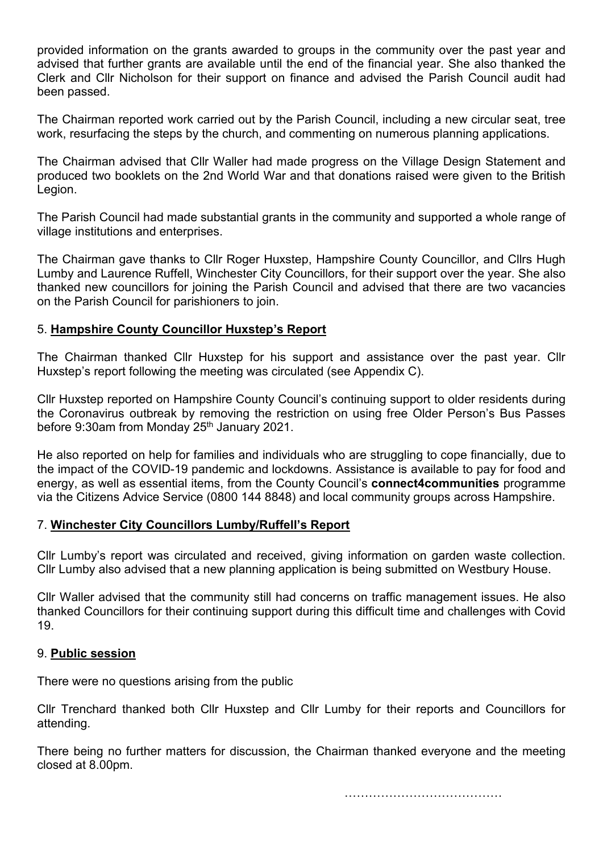provided information on the grants awarded to groups in the community over the past year and advised that further grants are available until the end of the financial year. She also thanked the Clerk and Cllr Nicholson for provided information on the grants awarded to groups in the community over the past year and<br>advised that further grants are available until the end of the financial year. She also thanked the<br>Clerk and Cllr Nicholson for provided information on the grants awarded to groups in the community over the past year and<br>advised that further grants are available until the end of the financial year. She also thanked the<br>Clerk and Cllr Nicholson for provided information on the grants awarded to groups in the com<br>advised that further grants are available until the end of the financ<br>Clerk and Cllr Nicholson for their support on finance and advised<br>been passed.<br>The Chair provided information on the grants awarded to groups in the community over the past year and<br>advised that further grants are available until the end of the financial year. She also thanked the<br>Clerk and Cllr Nicholson for provided information on the grants awarded to groups in the community over the past year and advised that further grants are available until the end of the financial year. She also thanked the Clerk and Cllr Nicholson for provided information on the grants awarded to groups in the community over the past year and<br>advised that further grants are available until the end of the financial year. She also thanked the<br>Clerk and Cllr Nicholson for provided information on the grants awarded to groups in the community over the past year and<br>advised that further grants are available until the end of the financial year. She also thanked the<br>Clerk and Clir Nicholson for provided information on the grants awarded to groups in the community over the past year and<br>advised that further grants are available until the end of the financial year. She also thanked the<br>Clerk and ClIr Nicholson for provided information on the grants awarded to groups in the community over the advised that further grants are available until the end of the financial year. She alse Clerk and ClIr Nicholson for their support on finance a

Legion.

provided information on the grants awarded to groups in the community over the past year and<br>advised that further grants are available until the end of the financial year. She also thanked the<br>Clerk and Cllr Nicholson for provided information on the grants awarded to groups in the community over the past year and advised that further grants are available until the end of the financial year. She also thanked the Clerk and ClIr Nicholson for provided information on the grants awarded to groups in the community over the past year and<br>advised that further grants are available until the end of the financial year. She also thanked the<br>Clerk and ClIr Nicholson for provided information on the grants awarded to groups in the community over the past year and<br>advised that further grants are available until the end of the financial year. She also thanked the<br>Clerk and ClIr Nicholson for above that thus are available that the eld or the minicial year. One has been passed.<br>Clerk and Clir Nicholson for their support on finance and advised the Parish Council audit had<br>been passed.<br>The Chairman reported work c The Chairman reported work carried out by the Parish Council, including a new circular seat, tree<br>The Chairman reported work carried out by the Parish Council, including a new circular seat, tree<br>work, resurfacing the step The Chairman reported work carried out by the Parish Council, including a new circular seat, tree<br>work, resurfacing the steps by the church, and commenting on numerous planning applications.<br>The Chairman advised that Cllr Wolk, resultacing the steps by the cition, and commenting orritantedos planting applications.<br>The Chairman advised that Cllr Waller had made progress on the Village Design Statement and<br>produced two booklets on the 2nd Wor The Chairman advised that Clir Waller had made progress on the Village Design Statement and<br>produced two booklets on the 2nd World War and that donations raised were given to the British<br>Legion.<br>The Parish Council had made The Chairman thanked Clir Huxstep For his suppress on the vialge Designi Distributed two booklets on the 2nd World War and that donations raised were given to the British Legion.<br>The Parish Council had made substantial gra Eegion:<br>The Parish Council had made substantial grants in the community and supported a whole range of<br>The Chairman gave thanks to ClIr Roger Huxstep, Hampshire County Councillor, and Clirs Hugh<br>Lumby and Laurence Ruffell, The Parish Council had made substantial grants in the community and supported a whole range of<br>The Chairman gave thanks to Clir Roger Huxstep, Hampshire County Councillor, and Clirs Hugh<br>The Chairman gave thanks to Clir Ro The Chairman under sussential grants in the community and supported a whole range or<br>The Chairman gave thanks to Cllr Roger Huxstep, Hampshire County Councillor, and Clirs Hugh<br>Lumby and Laurence Ruffell, Winchester City C Vinage inisulturoirs and elterphese.<br>
The Chairman gave thanks to Clir Roger Huxstep, Hampshire County Councillor, and Clirs Hugh<br>
Lumby and Laurence Ruffell, Winchester City Councillors, for their support over the year. S

The Continuiting wave trains to burn frougher trains particulately, trainspare bothing that there are two vacancies<br>
Lumby and Laurence Ruffell, Winchester City Councillors, for their support over the year. She also<br>
thank non the Parish Council for parishioners to join.<br>
S. Hampshire County Councillor Huxstep's Report<br>
The Chairman thanked Cllr Huxstep's Report<br>
The Chairman thanked Cllr Huxstep for his support and assistance over the past E. Hampshire County Councillor Huxstep for his support and assistance over the past year. Cllr<br>The Chairman thanked Cllr Huxstep for his support and assistance over the past year. Cllr<br>Huxstep's report following the meetin <sup>27</sup> Exampler advised that the community still had concerns on traffic mandemondation. The Chairman thanked Cllr Huxstep for his support and assistance over the past year. Cllr Huxstep's report following the meeting was ci The Chairman thanked Cllr Huxstep for his support and assistance over the past year. Cllr<br>Huxstep's reported on Hampshire County Council's continuing support to older residents during<br>Clir Huxstep reported on Hampshire Cou Cllr Huxstep reported on Hampshire County Council's continuing supporte Coronavirus outbreak by removing the restriction on using free Obefore 9:30am from Monday 25<sup>th</sup> January 2021.<br>He also reported on help for families a Defore 9:30am from Monday 25<sup>m</sup> January 2021.<br>
He also reported on help for families and individuals who are struggling to cope financially, due to<br>
the impact of the COVID-19 pandemic and lockdowns. Assistance is availabl He also reported on help for families and individuals who are struggling to cope financially, due to<br>the impact of the COVID-19 pandemic and lockdowns. Assistance is available to pay for food and<br>energy, as well as essenti

19. Via the Citizens Advice Service (0800 144 8848) and local community groups across Hampshire.<br>
7. Winchester City Councillors Lumby/Ruffell's Report<br>
The Lumby's report was circulated and received, giving information on gar classing the state of the state burst and the state of the Section T. **Vinchester City Councillors Lumby/Ruffell's Report**<br>
ClIr Lumby's report was circulated and received, giving information on garden wast<br>
ClIr Lumby als

attending.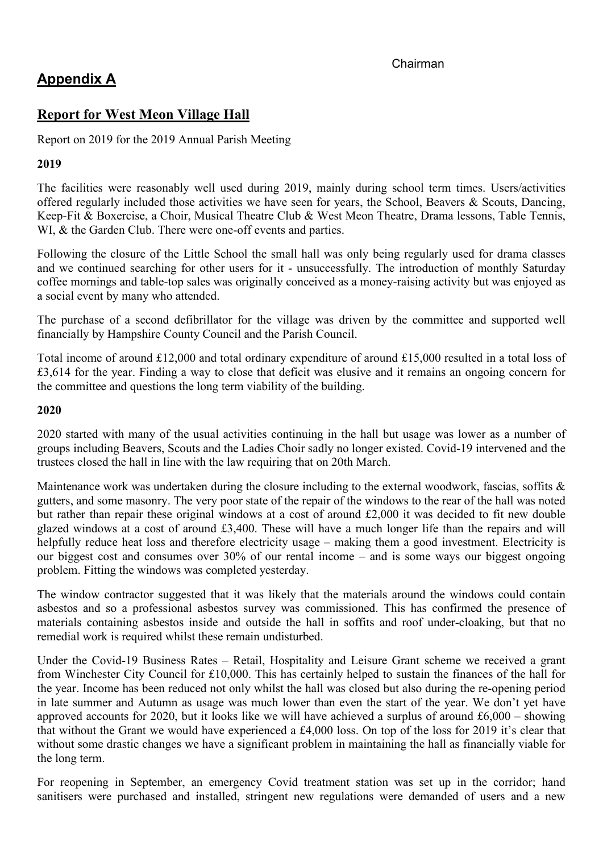**Appendix A**<br> **Report for West Meon Village Hall**<br>
Report on 2019 for the 2019 Annual Parish Meeting Appendix A<br>Report for West Meon Village Hall<br>Report on 2019 for the 2019 Annual Parish Meeting<br>2019

# 2019

**Appendix A**<br> **Appendix A**<br> **Report for West Meon Village Hall**<br>
Report on 2019 for the 2019 Annual Parish Meeting<br>
2019<br>
The facilities were reasonably well used during 2019, mainly during school term times. Users/activit **Example 11**<br> **Chairman**<br> **Report for West Meon Village Hall**<br> **Report on 2019 for the 2019 Annual Parish Meeting**<br> **The facilities were reasonably well used during 2019, mainly during school term times. Users/activities<br> Chairman**<br> **October 1998**<br> **Report for West Meon Village Hall**<br> **Report on 2019** for the 2019 Annual Parish Meeting<br> **2019**<br> **The facilities were reasonably well used during 2019**, mainly during school term times. Users/a **Example 18 A Report for West Meon Village Hall**<br>Report on 2019 for the 2019 Annual Parish Meeting<br>2019<br>The facilities were reasonably well used during 2019, mainly during school term times. Users/activities<br>offered regula **Example 18 A**<br> **Example 18 A**<br> **Report for West Meon Village Hall**<br>
Report on 2019 for the 2019 Annual Parish Meeting<br>
2019<br>
The facilities were reasonably well used during 2019, mainly during school term times. Users/act **Example 18 Chairman**<br> **Example 18 Chairman**<br> **Report on 2019 for the 2019 Annual Parish Meeting**<br> **Report on 2019 for the 2019 Annual Parish Meeting**<br> **Chairman** Experiment Conservatives were also the small damage 2019, m **Example 19 Continued Saturation Continued Searching For Chairman**<br> **Report on 2019 for the 2019 Annual Parish Meeting**<br> **Report on 2019 for the 2019 Annual Parish Meeting**<br> **The facilities were reasonably well used during Chairman**<br> **Chairman**<br> **Report for West Meon Village Hall**<br> **Report on 2019 for the 2019 Annual Parish Meeting**<br> **2019**<br> **Coffeed regularly included those setivities we have seen for years, the School, Beavers & Scouts, D Chairman**<br> **Chairman**<br> **Report for West Meon Village Hall**<br>
Report on 2019 for the 2019 Annual Parish Meeting<br>
2019<br>
The facilities were reasonably well used during 2019, mainly during school term times. Use<br>
offered regu **Chairman**<br> **Report for West Meon Village Hall**<br> **Report on 2019 for the 2019 Annual Parish Meeting**<br> **The facilities were reasonably well used during 2019, mainly during school term times. Users/activities<br>
offcred regula Appendix A**<br>**Report for West Meon Village Hall**<br>Report on 2019 for the 2019 Annual Parish Mecting<br>2019<br>The facilities were reasonably well used during 2019, mainly during school term times. Users/activities<br>offered regula **Report for West Meon Village Hall**<br>
Report on 2019 for the 2019 Annual Parish Meeting<br>
2019<br>
The facilities were reasonably well used during 2019, mainly during school term times. Users/activities<br>
neffered regularly incl **Report for West Meon Village Hall**<br>**Report on 2019 for the 2019 Annual Parish Meeting**<br>**2019**<br>**The facilities were reasonably well used during 2019, mainly during school term times. Users/activities<br>onfered regularly inc** Report on 2019 for the 2019 Annual Parish Meeting<br>
2019<br>
The facilities were reasonably well used during 2019, mainly during school term times. Users/activities<br>
offcred regularly included those activities we have seen for The facilities were reasonably well used during 2019, mainly during school term times. Users/activities offcred regularly included those activities we have seen for years, the School, Beavers & Seouts, Dancing, Meg-Fit & B

The Tacilities were reasonably well used during 2019, manity during school clem times. Users and space-<br>Toffered regularly included those activities we have seen for years, the School, Beavers & Scouts, Dancing,<br>Kcep-Fit & offered regularly meluded those activities we have seen for years, the Schoit, Search is Noster Secure, Secure, Secure, Secure, Secure, Secure, Secure, Secure, Secure, Secure, Secure of the Little School is mall hall was o

# 2020

WI, & the Garden Club. There were one-off events and parties.<br>Following the closure of the Little Sehold the small hall was only being regularly used for drama classes<br>and we continued searching for other users for it - u Following the closure of the Little School the small hall was only being regularly used for drama classes<br>and we continued scarehing for other users for it - unsuccessfully. The introduction of monthly Saturday<br>ordice norm Following the closure of the Little Sechol the small hall was only being regularly used for drama classes<br>and we continued searching for other users for it - unsuccessfully. The introduction of monthly Saturday<br>coffice mo and we continued scare/hing for other users for it - unsuccessituty. The infroduction of monthly satured<br>as a social event by many who attended.<br>The purchase of a second defibrillator for the village was driven by the comm coller moromumes and table-lop sales was originally concerved as a money-raising activity but was enjoyed as<br>a social event by many who attended.<br>The purchase of a second defibrillator for the village was driven by the com a social event by many who attended.<br>
The purchase of a second defibrillator for the village was driven by the committee and supported well<br>
financially by Hampshire County Council and the Parish Council.<br>
Total income of The purchase of a second defibrillator for the village was driven by the committee and supported well<br>financially by Hampshire County Council and the Parish Council.<br>Total income of around £12,000 and total ordinary expen Imancially by Hampshire County Council and the Parish Council.<br>
Total income of around £12,000 and total ordinary expenditure of £15,000 resulted in a total loss of<br> **E3,614** for the year. Finding a way to close that defic Total income of around £12,000 and total ordinary expenditure of around £15,000 resulted in a total loss of £3,614 for the year. Finding a way to close that deficit was elusive and it remains an ongoing concern for the com of the minder of an experiment of the sund outside the hall in softisting and the matrix of an experiment of and the solution of and the solution of the committee and questions the long term viability of the sulding.<br>
2020 External work is remained a seal of the summing a base of the state of the state of the committee and questions the long term viability of the building.<br>
2020 started with many of the usual activities continuing in the ha 2020<br>
2020 started with many of the usual activities continuing in the hall but usage was lower as a number of<br>
groups including Beavers, Scouts and the Ladies Chori sadly no longer existed. Covid-19 intervened and the<br>
t 2020<br>
2020 started with many of the usual activities continuing in the hall but usage was lower as a number of<br>
20200 started the hall in line with the law requiring that on 20th March.<br>
2010 started and the trustees close

2020 started with many of the usual activities continuing in the hall but usage was lower as a number of groups including Breavres, Scouts and the Ladies Choir sadly no longer cristed. Covid-19 intervened and the tratists groups including Beavers, Scouts and the Ladies Choir sadly no longer existed. Covid-19 intervened and the transce volve as undertaken during that on 20th March.<br>
Maintenance work was undertaken during the losser including trustees closed the hall in line with the law requiring that on 20th March.<br>
Maintenance work was undertaken during the closure including to the external woodwork, fascias, soff its & guttests, and some masonry. The very p Maintenance work was undertaken during the closure including to the external woodwork, fascias, soffits & gutters, and some masonry. The very poor state of the repair of the windows to the rear of the hall was noted  $\frac{1$ Maintenance work was undertaken during the losure including to to external woodwork, fascis, soffits & soffits and some including to the external work and solut rather than repair these original windows at a cost of around gutters, and some masonry. The very poor state of the repair of the windows<br>but rather than repair these original windows at a cost of around £2,000 it<br>glazed windows at a cost of around £3,400. These will have a much long glazed windows at a cost of around £3,400. These will have a much longer life than the repairs and will helpfolly reduce bet at loss and therefore clectricity usage making them a good investment. Electricity is our biggest inelpfully reduce heat loss and therefore electricity usage making them a good investment. Electricity is our biggest cost and consumes over 30% of our rental income – and is some ways our biggest ongoing problem. Fitting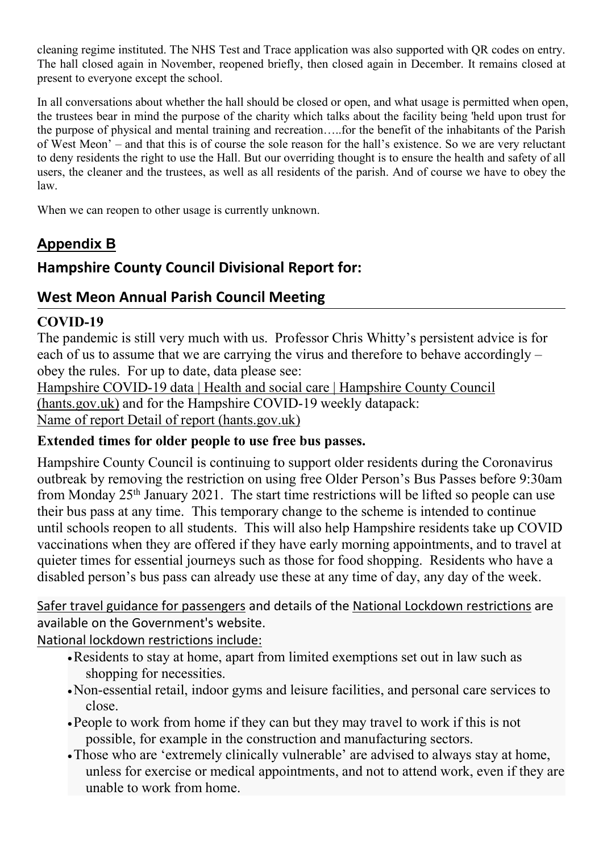cleaning regime instituted. The NHS Test and Trace application was also supported with QR codes on entry.<br>The hall closed again in November, reopened briefly, then closed again in December. It remains closed at<br>present to cleaning regime instituted. The NHS Test and Trace application was also supported with QR codes on entry.<br>The hall closed again in November, reopened briefly, then closed again in December. It remains closed at<br>present to

cleaning regime instituted. The NHS Test and Trace application was also supported with QR codes<br>The hall closed again in November, reopened briefly, then closed again in December. It remains<br>present to everyone except the cleaning regime instituted. The NHS Test and Trace application was also supported with QR codes on entry.<br>The hall closed again in November, reopened briefly, then closed again in December. It remains closed at<br>present to cleaning regime instituted. The NHS Test and Trace application was also supported with QR codes on entry.<br>The hall closed again in November, reopened briefly, then closed again in December. It remains closed at<br>present to cleaning regime instituted. The NHS Test and Trace application was also supported with QR codes on entry.<br>The hall closed again in November, reopened briefly, then closed again in December. It remains closed at<br>present to cleaning regime instituted. The NHS Test and Trace application was also supported with QR codes on entry.<br>The hall closed again in November, reopened briefly, then closed again in December. It remains closed at<br>present to cleaning regime instituted. The NHS Test and Trace application was also supported with QR codes on entry.<br>The hall closed again in November, reopened briefly, then closed again in December. It remains closed at<br>present to cleaning regime instituted. The NHS Test and Trace application was also supported with QR codes on entry.<br>The hall closed again in November, reopened briefly, then closed again in December. It remains closed at<br>present to law. eleaning regime instituted. The NHS Test and Trace application was also supported with QR codes on entry.<br>The hall closed again in November, reopened briefly, then closed again in December. It remains closed at<br>present to cleaning regime instituted. The NHS Test and Trace application was also support<br>The hall closed again in November, reopened briefly, then closed again in Dece<br>present to everyone except the school.<br>In all conversations abo cleaning regime instituted. The NHS Test and Trace application was also supported with QR codes on entry.<br>The hall closed again in November, reported briefly, then closed again in December. It remains closed at<br>present to cleaning regime instituted. The NHS Test and Trace application was also supported with QR codes on entry.<br>The hall closed again in November, reopened briefly, then closed again in December. It remains closed at<br>present to In all conversions about whether the behavior of the chiral should be closed or open, and what usage is permitted when open,<br>The II conversations about whether the ball should be closed or the benefit of the inhibital<br>the In all conversations about whether the hall should be closed or open, and what usage is permitted when open,<br>the trustess bear in mind the purpose of the charrity which talks about the fasility being 'held upon trust for<br>t the trustees bear in mind the purpose of the charity which talks about the facility being 'held upon trust for<br>the purpose of physical and menula training and recreation.....for the benefit of the inhabitants of the respec the purpose of physical and mental training and recreation.....for the benefit of the inhabitants of the Parish and mental to deny residents the Parish to deny residents the right to use the Hall. But our overriding though of West Meon' - and that this is of course the sole reason for the hall's existence. So we are erry peluciant<br>to deny residents the right to use the Hall. But our overriding thought is to ensure the health and safety of al

# COVID-19

o dely resuems are pair to use the rail. But our overtinal induction and safety or detail and safety or detail and the rustees, as well as all residents of the parish. And of course we have to obey allows:<br>
Names, the clea

law.<br>
When we can reopen to other usage is currently unknown.<br> **Appendix B**<br> **Hampshire County Council Divisional Report for:**<br>
West Meon Annual Parish Council Meeting<br>
COVID-19<br>
The pandemic is still very much with us. Pr When we can reopen to other usage is currently unknown.<br> **Appendix B**<br> **Hampshire County Council Divisional Report for:**<br> **COVID-19**<br> **COVID-19**<br> **COVID-19 bases are continuing to support of the parademic is for<br>
The pand Appendix B**<br> **Hampshire County Council Divisional Report for:**<br> **West Meon Annual Parish Council Meeting**<br> **COVID-19**<br> **COVID-19**<br> **COVID-19**<br> **C** cases the restriction of the restriction on the restriction of the restri **Appendix B**<br> **Hampshire County Council Divisional Report for:**<br> **West Meon Annual Parish Council Meeting**<br> **COVID-19**<br>
The pandemic is still very much with us. Professor Chris Whitty's persistent advice is for<br>
each of u **Hampshire County Council Divisional Report for:**<br> **COVID-19**<br> **COVID-19**<br> **COVID-19**<br> **COVID-19**<br> **COVID-19**<br> **COVID-19**<br> **COVID-19** data [Headth and social care [Hampshire County Council<br> **COVID-19** data [Headth and soc Hampshire County Council Divisional Report for:<br>
West Meon Annual Parish Council Meeting<br>
COVID-19<br>
The pandemic is still very much with us. Professor Chris Whitty's persistent advice is for<br>
Hengshire COVID-19 data jleads West Meon Annual Parish Council Meeting<br>
COVID-19<br>
The pandemic is still very much with us. Professor Chris Whitty's persistent advice is for<br>
accho of us to assume that we are carrying the virus and therefore to behave ac **COVID-19**<br> **COVID-19**<br> **COVID-19**<br> **COVID-19**<br> **COVID-19**<br> **COVID-19**<br> **COVID-19** data [leads are carrying the virus and therefore to behave accordingly –<br>
obey the rules. For up to date, data please sec:<br> **Hampshire COV COVID-19**<br>The pandemic is still very much with us. Professor Chris Whitty's persistent advice is for The pandemic is still very meach we are carrying the virus and therefore to behave accordingly – obey the rules. For up each of us to assume that we are carrying the virus and therefore to behave accordingly –<br>Hampshire COVID-19 data | Health and social care | Hampshire County Council<br>
(hants.goy.uk) and for the Hampshire COVID-19 weekly da obey the rules. For up to date, data please see:<br>Hampshire COVID-19 data | Health and social care | Hampshire County Council<br>
<u>(hants.gov.uk</u>) and for the Hampshire COVID-19 weekly datapack:<br>
Name of report Detail of repor **Hampshire COVID-19 data [Haalm an social care (Enlarge Figure 2001) The Covid-19 (Altants Sev, while Symmer of report Detail of report (hants gov.uk)<br>
Extended times for older people to use free bus passes.<br>
Hampshire Co** shopping for the controllants are the busing the coronavirus space.<br>
Shore County Council is continuing to support older residents during the Coronavirus<br>
Shore County Council is continuing to support older Person's Bus Pa shine County Council is continuing to support older restains during the Coronavirus<br>seak by removing the restriction on using free Older Person's Bus Passes before 9:30am<br>Monday 25<sup>th</sup> January 2021. The start time restrict example restriction on using tree Olier Person's Buse Passes betree 9:30am<br>Monday 25<sup>th</sup> January 2021. The start time restrictions will be lifted so people can use<br>bus pass at any time. This temporary change to the scheme pass at any time. This temporary change to the scheme is intended to continue<br>cols reopen to all students. This will also obely Hampshire residents take up COVID<br>ions when they are offered if they have early morning appoin books reopen to all students. This will also help Hampshire residents take up CO<br>ions when they are offered if they have early morning appointments, and to trave<br>limes for essential journeys such as those for food shopping

- 
- close.
- 
-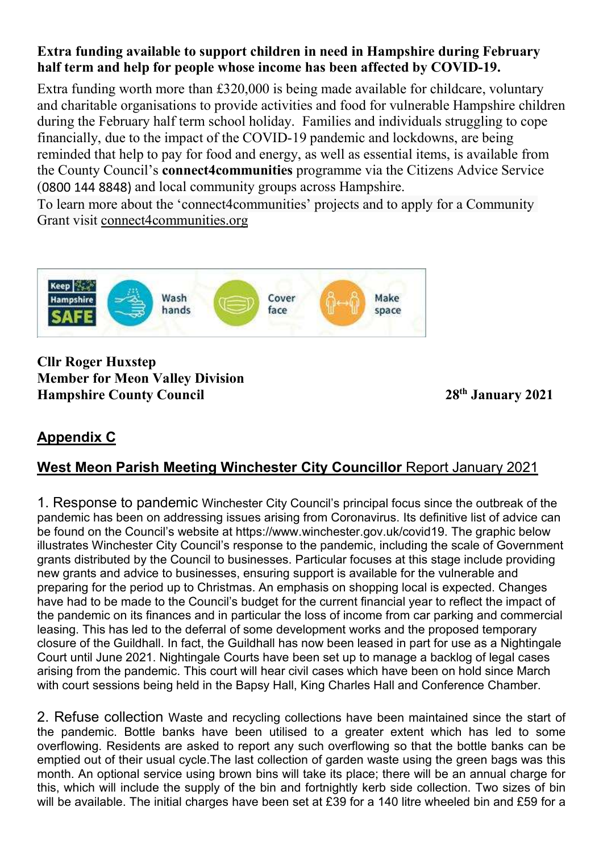Extra funding available to support children in need in Hampshire during February<br>half term and help for people whose income has been affected by COVID-19.<br>Extra funding worth more than £320,000 is being made available for Extra funding available to support children in need in Hampshire during February<br>half term and help for people whose income has been affected by COVID-19.<br>Extra funding worth more than £320,000 is being made available for **Extra funding available to support children in need in Hampshire during February**<br>**half term and help for people whose income has been affected by COVID-19.**<br>Extra funding worth more than £320,000 is being made available Extra funding available to support children in need in Hampshire during February<br>half term and help for people whose income has been affected by COVID-19.<br>Extra funding worth more than £320,000 is being made available for **Extra funding available to support children in need in Hampshire during February**<br>half term and help for people whose income has been affected by COVID-19.<br>Extra funding worth more than £320,000 is being made available fo **Extra funding available to support children in need in Hampshire during February**<br>half term and help for people whose income has been affected by COVID-19.<br>Extra funding worth more than £320,000 is being made available fo **Extra funding available to support children in need in Hampshire during February**<br>half term and help for people whose income has been affected by COVID-19.<br>Extra funding worth more than £320,000 is being made available fo **Extra funding available to support children in need in Hampshire during February**<br>half term and help for people whose income has been affected by COVID-19.<br>Extra funding worth more than £320,000 is being made available fo **Extra funding available to support children in need in Hampshire during February** half term and help for people whose income has been affected by COVID-19. Extra funding worth more than £320,000 is being made available fo **Extra funding available to support children in need in Hampshire during February** half term and help for people whose income has been affected by COVID-19. Extra funding worth more than £320,000 is being made available f **Extra funding available to support children in need in Hampshire half term and help for people whose income has been affected by** Extra funding worth more than £320,000 is being made available for and charitable organisa and charitable organisations to provide activities and food for vulneral<br>during the February half term school holiday. Families and individual<br>financially, due to the impact of the COVID-19 pandemic and lockdow<br>reminded th during the February half term school holiday. Families and individuals struggling to e<br>financially, due to the impact of the COVID-19 pandemic and lockdowns, are being<br>reminded that help to pay for food and energy, as well



1. Response to pandemic Winchester City Councillor Report January 2021<br>
1. Response to pandemic Winchester City Councillor Report January 2021<br>
1. Response to pandemic Winchester City Councillor Report January 2021<br>
1. Res particle of the magnitude of the bandemic Microsofter City Council and the space<br> **SAFE** (*Secular Library 2021*<br> **Appendix C**<br> **Appendix C**<br> **Appendix C**<br> **Appendix C**<br> **Appendix C**<br> **Appendix C**<br> **Alexandemic Winchester Example for the Found on the Council's cover** ( $\theta$  and space<br> **Cover Council Council** Space<br> **Council Council Space**<br> **Example for Meon Valley Division**<br> **Example Found on the Council Space at the graphic Below of the Example 12** Wash<br> **Example 12** Wash ands<br> **Covernment of Memorial Council**<br> **Example 12** Manuary 2021<br> **Appendix C**<br> **West Meon Parish Meeting Winchester City Councillor Report January 2021**<br> **Appendix C**<br> **West Meon Pari Example 1998 SAFE**<br> **Example 1999 Connect Council Space**<br> **Example 1999 Council 28<sup>th</sup> January 2021**<br> **Appendix C**<br> **West Meon Parish Meeting Winchester City Councillor Report January 2021**<br> **Appendix C**<br> **West Meo SAFE**<br> **Cliff Roger Huxstep**<br> **Cliff Roger Huxstep**<br> **Hampshire County Council**<br> **Appendix C**<br> **West Meon Parish Meeting Winchester City Councillor Report January 2021**<br> **Appendix C**<br> **West Meon Parish Meeting Winchester CIIr Roger Huxstep**<br> **Member for Meon Valley Division**<br> **Hampshire County Council**<br> **Appendix C**<br> **Appendix C**<br> **Appendix C**<br> **OVest Meon Parish Meeting Winchester City Councillor Report January 2021**<br>
1. Response to pand Clir Roger Huxstep<br> **Hampshire County Council**<br> **Hampshire County Council**<br> **Appendix C**<br> **West Meon Parish Meeting Winchester City Councillor Report January 2021**<br>
1. Response to pandemic Winchester City Council's princip CIIr Roger Huxstep<br> **Appendix C**<br> **Example For Meon Valley Division**<br> **Appendix C**<br> **West Meon Parish Meeting Winchester City Councillor Report January 2021**<br>
1. Response to pandemic Winchester City Council's principal foc Least Transport is a matter of the particle and the deferral of the deferred to the deferred to the deferred of the deferred of the paneline County Council of Report January 2021<br> **Appendix C**<br>
West Meon Parish Meeting Win 28<sup>th</sup> January 2021<br> **Appendix C**<br> **C**<br> **West Meon Parish Meeting Winchester City Councillor Report January 2021<br>
1. Response to pandemic Winchester City Council's principal focus since the outbreak of the<br>
pandemic has be** Hampshire Courty Council<br> **Appendix C**<br>
West Meon Parish Meeting Winchester City Councillor Report January 2021<br>
1. Response to pandemic Winchester City Council's principal focus since the outbreak of the<br>
pandemic has bee **Appendix C**<br>West Meon Parish Meeting Winchester City Councillor Report January 2021<br>1. Response to pandemic Winchester City Council's principal focus since the outbreak of the<br>pandemic has been on addressing issues arisin **Appendix C**<br>West Meon Parish Meeting Winchester City Councillor Report January 2021<br>1. Response to pandemic Winchester City Council's principal focus since the outbreak of the<br>pandemic has been on addressing issues arisin West Meon Parish Meeting Winchester City Councillor Report January 2021<br>1. Response to pandemic Winchester City Council's principal focus since the outbreak of the<br>pandemic has been on addressing issues arising from Corona **THE SET THE THE SET THE SET THE SET THE SET THE SET THE SET THE SET THE SET THE SET THE SET THE SET THE SET THE SET THE SET THE SET THE SET THE SET THE SET THE SET THE SET THE SET THE SET THE SET THE SET THE SET THE SET T** 1. Response to pandemic Winchester City Council's principal focus since the outbreak of the pandemic has been on addressing issues arising from Coronavirus. Its definitive list of advice can be founcil when Council's websi 1. Response to pandemic Winchester City Council's principal focus since the outbreak of the pardemic has been on addressing issues arising from Coronavirus. Its definitive list of advice can be found on the Council's websi pandemic has been on addressing issues arising from Coronavirus. Its definitive list of advice can<br>be found on the Council's website at https://www.whichester.gov.uk/coovid19. The graphic below<br>illustrates Winchester City be found on the Council's website at https://www.winchester.gov.uk/covid19. The graphic below<br>illustrates Winchester City Council's response to the pandemic, including the scale of Government<br>grants distributed by the Coun illustrates Winchester City Council's response to the pandemic, including the scale of Government<br>grants distributed by the Council to businesses, ensuring support is available for the vulnerable and<br>preparing for the peri